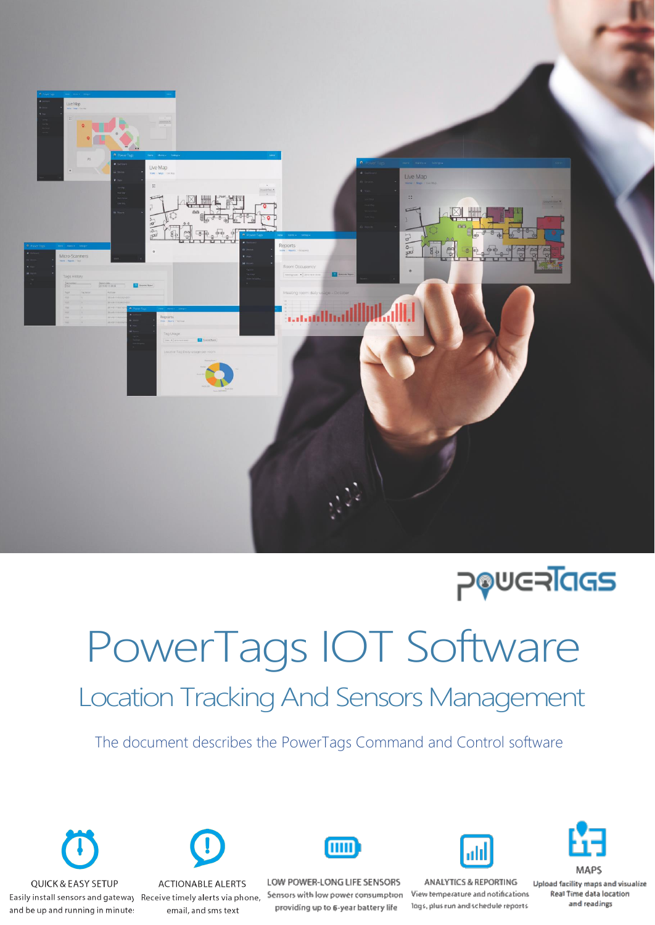



# PowerTags IOT Software

# Location Tracking And Sensors Management

The document describes the PowerTags Command and Control software





**ACTIONABLE ALERTS** Easily install sensors and gateway Receive timely alerts via phone, email, and sms text



LOW POWER-LONG LIFE SENSORS Sensors with low power consumption providing up to 6-year battery life



ANALYTICS & REPORTING View temperature and notifications logs, plus run and schedule reports



Upload facility maps and visualize Real Time data location and readings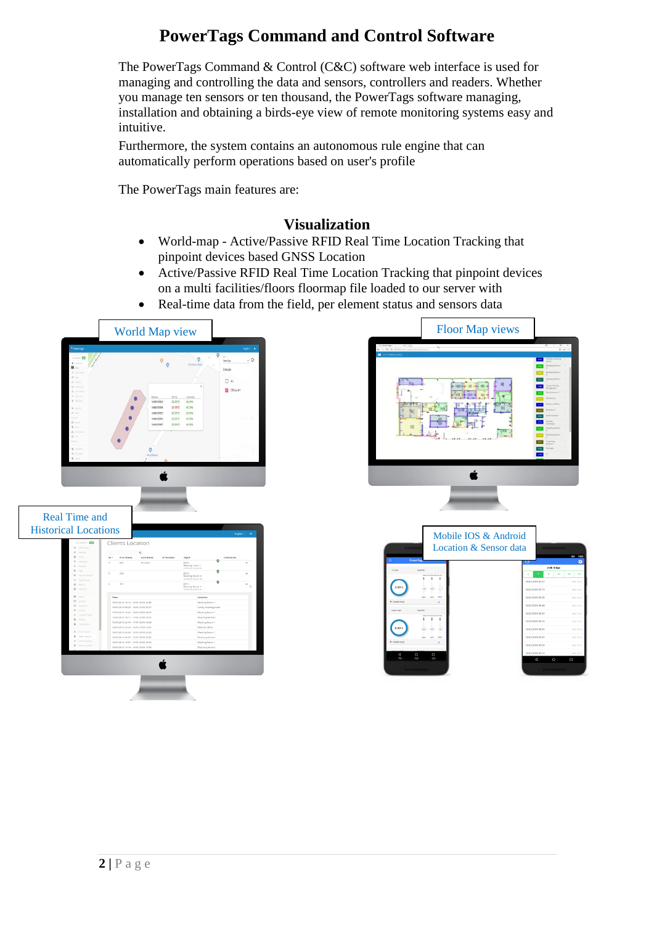# **PowerTags Command and Control Software**

The PowerTags Command & Control (C&C) software web interface is used for managing and controlling the data and sensors, controllers and readers. Whether you manage ten sensors or ten thousand, the PowerTags software managing, installation and obtaining a birds-eye view of remote monitoring systems easy and intuitive.

Furthermore, the system contains an autonomous rule engine that can automatically perform operations based on user's profile

The PowerTags main features are:

### **Visualization**

- World-map Active/Passive RFID Real Time Location Tracking that pinpoint devices based GNSS Location
- Active/Passive RFID Real Time Location Tracking that pinpoint devices on a multi facilities/floors floormap file loaded to our server with
- Real-time data from the field, per element status and sensors data



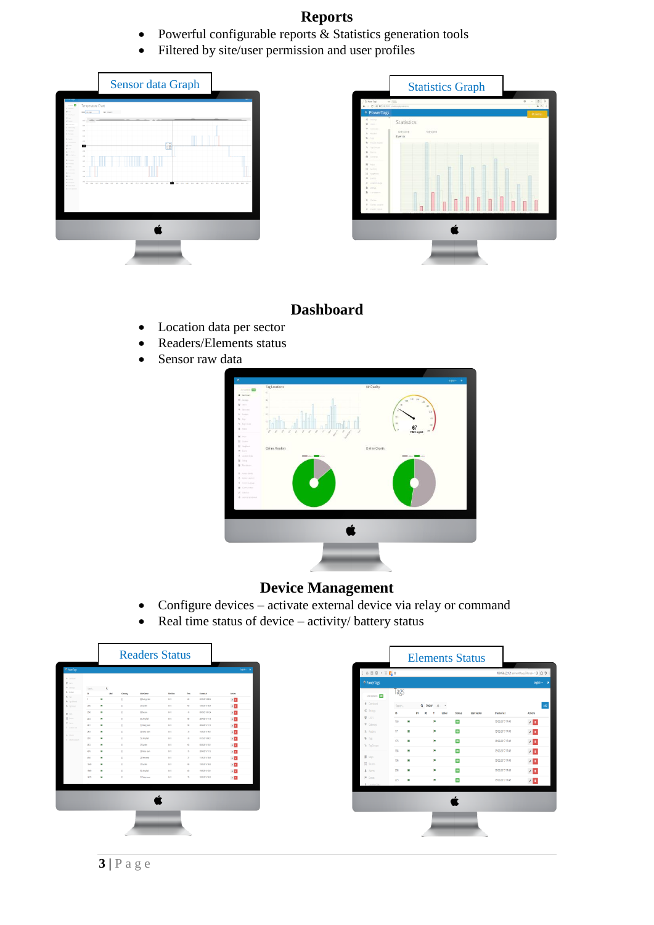### **Reports**

- Powerful configurable reports  $\&$  Statistics generation tools
- Filtered by site/user permission and user profiles





# **Dashboard**

- Location data per sector
- Readers/Elements status
- Sensor raw data



# **Device Management**

- Configure devices activate external device via relay or command
- Real time status of device  $-$  activity/ battery status